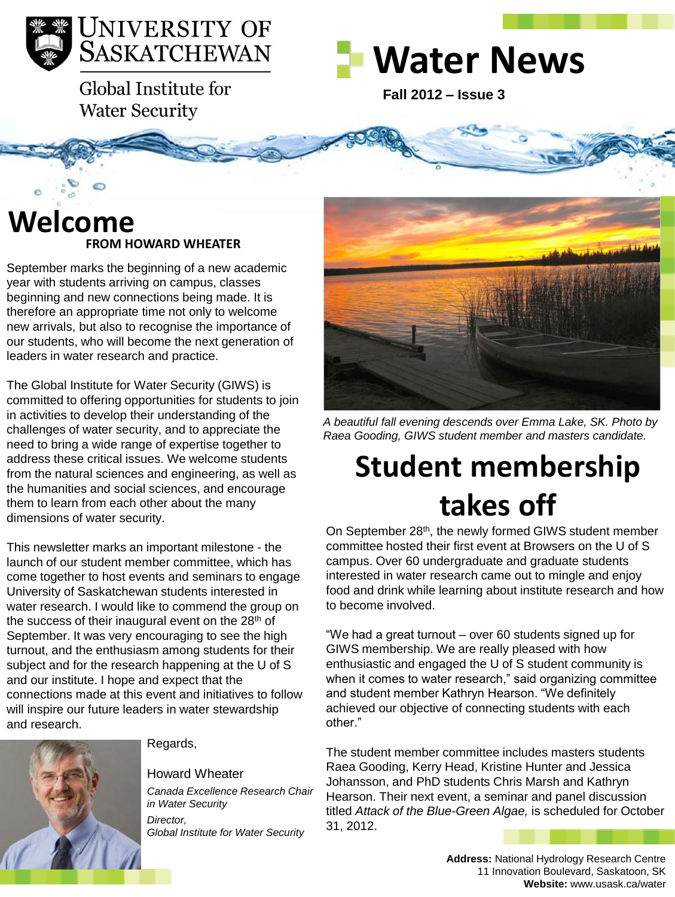

Global Institute for **Water Security** 

# **Water News**

**Fall 2012 – Issue 3** 

### **FROM HOWARD WHEATER Welcome**

September marks the beginning of a new academic year with students arriving on campus, classes beginning and new connections being made. It is therefore an appropriate time not only to welcome new arrivals, but also to recognise the importance of our students, who will become the next generation of leaders in water research and practice.

The Global Institute for Water Security (GIWS) is committed to offering opportunities for students to join in activities to develop their understanding of the challenges of water security, and to appreciate the need to bring a wide range of expertise together to address these critical issues. We welcome students from the natural sciences and engineering, as well as the humanities and social sciences, and encourage them to learn from each other about the many dimensions of water security.

This newsletter marks an important milestone - the launch of our student member committee, which has come together to host events and seminars to engage University of Saskatchewan students interested in water research. I would like to commend the group on the success of their inaugural event on the  $28<sup>th</sup>$  of September. It was very encouraging to see the high turnout, and the enthusiasm among students for their subject and for the research happening at the U of S and our institute. I hope and expect that the connections made at this event and initiatives to follow will inspire our future leaders in water stewardship and research.



Regards,

#### Howard Wheater

*Canada Excellence Research Chair in Water Security Director, Global Institute for Water Security*



*A beautiful fall evening descends over Emma Lake, SK. Photo by Raea Gooding, GIWS student member and masters candidate.* 

# **Student membership takes off**

On September 28<sup>th</sup>, the newly formed GIWS student member committee hosted their first event at Browsers on the U of S campus. Over 60 undergraduate and graduate students interested in water research came out to mingle and enjoy food and drink while learning about institute research and how to become involved.

"We had a great turnout – over 60 students signed up for GIWS membership. We are really pleased with how enthusiastic and engaged the U of S student community is when it comes to water research," said organizing committee and student member Kathryn Hearson. "We definitely achieved our objective of connecting students with each other."

The student member committee includes masters students Raea Gooding, Kerry Head, Kristine Hunter and Jessica Johansson, and PhD students Chris Marsh and Kathryn Hearson. Their next event, a seminar and panel discussion titled *Attack of the Blue-Green Algae,* is scheduled for October 31, 2012.

> **Address:** National Hydrology Research Centre 11 Innovation Boulevard, Saskatoon, SK **Website:** www.usask.ca/water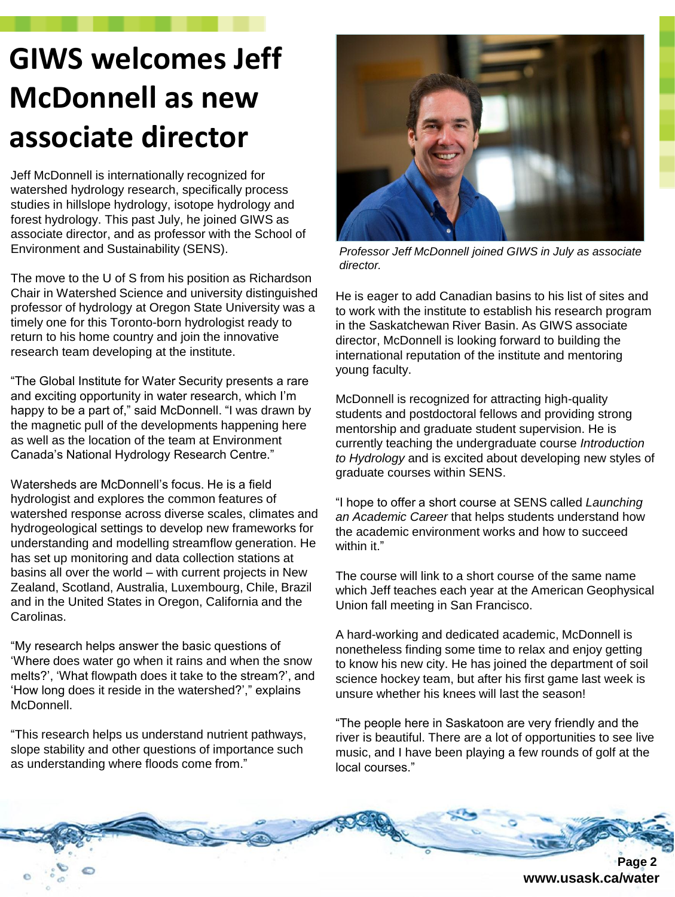## **GIWS welcomes Jeff McDonnell as new associate director**

Jeff McDonnell is internationally recognized for watershed hydrology research, specifically process studies in hillslope hydrology, isotope hydrology and forest hydrology. This past July, he joined GIWS as associate director, and as professor with the School of Environment and Sustainability (SENS).

The move to the U of S from his position as Richardson Chair in Watershed Science and university distinguished professor of hydrology at Oregon State University was a timely one for this Toronto-born hydrologist ready to return to his home country and join the innovative research team developing at the institute.

"The Global Institute for Water Security presents a rare and exciting opportunity in water research, which I'm happy to be a part of," said McDonnell. "I was drawn by the magnetic pull of the developments happening here as well as the location of the team at Environment Canada's National Hydrology Research Centre."

Watersheds are McDonnell's focus. He is a field hydrologist and explores the common features of watershed response across diverse scales, climates and hydrogeological settings to develop new frameworks for understanding and modelling streamflow generation. He has set up monitoring and data collection stations at basins all over the world – with current projects in New Zealand, Scotland, Australia, Luxembourg, Chile, Brazil and in the United States in Oregon, California and the Carolinas.

"My research helps answer the basic questions of 'Where does water go when it rains and when the snow melts?', 'What flowpath does it take to the stream?', and 'How long does it reside in the watershed?'," explains McDonnell.

"This research helps us understand nutrient pathways, slope stability and other questions of importance such as understanding where floods come from."



*Professor Jeff McDonnell joined GIWS in July as associate director.* 

He is eager to add Canadian basins to his list of sites and to work with the institute to establish his research program in the Saskatchewan River Basin. As GIWS associate director, McDonnell is looking forward to building the international reputation of the institute and mentoring young faculty.

McDonnell is recognized for attracting high-quality students and postdoctoral fellows and providing strong mentorship and graduate student supervision. He is currently teaching the undergraduate course *Introduction to Hydrology* and is excited about developing new styles of graduate courses within SENS.

"I hope to offer a short course at SENS called *Launching an Academic Career* that helps students understand how the academic environment works and how to succeed within it."

The course will link to a short course of the same name which Jeff teaches each year at the American Geophysical Union fall meeting in San Francisco.

A hard-working and dedicated academic, McDonnell is nonetheless finding some time to relax and enjoy getting to know his new city. He has joined the department of soil science hockey team, but after his first game last week is unsure whether his knees will last the season!

"The people here in Saskatoon are very friendly and the river is beautiful. There are a lot of opportunities to see live music, and I have been playing a few rounds of golf at the local courses."



**www.usask.ca/water**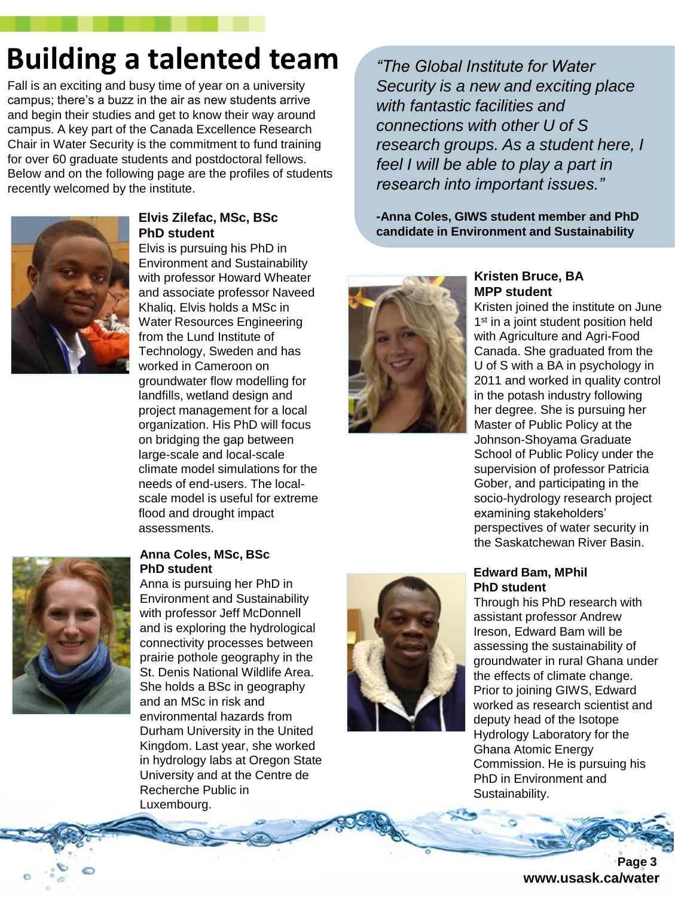## **Building a talented team**

Fall is an exciting and busy time of year on a university campus; there's a buzz in the air as new students arrive and begin their studies and get to know their way around campus. A key part of the Canada Excellence Research Chair in Water Security is the commitment to fund training for over 60 graduate students and postdoctoral fellows. Below and on the following page are the profiles of students recently welcomed by the institute.



#### **Elvis Zilefac, MSc, BSc PhD student**

Elvis is pursuing his PhD in Environment and Sustainability with professor Howard Wheater and associate professor Naveed Khaliq. Elvis holds a MSc in Water Resources Engineering from the Lund Institute of Technology, Sweden and has worked in Cameroon on groundwater flow modelling for landfills, wetland design and project management for a local organization. His PhD will focus on bridging the gap between large-scale and local-scale climate model simulations for the needs of end-users. The localscale model is useful for extreme flood and drought impact assessments.



#### **Anna Coles, MSc, BSc PhD student**

Anna is pursuing her PhD in Environment and Sustainability with professor Jeff McDonnell and is exploring the hydrological connectivity processes between prairie pothole geography in the St. Denis National Wildlife Area. She holds a BSc in geography and an MSc in risk and environmental hazards from Durham University in the United Kingdom. Last year, she worked in hydrology labs at Oregon State University and at the Centre de Recherche Public in Luxembourg.

*"The Global Institute for Water Security is a new and exciting place with fantastic facilities and connections with other U of S research groups. As a student here, I feel I will be able to play a part in research into important issues."*

*-***Anna Coles, GIWS student member and PhD candidate in Environment and Sustainability**



#### **Kristen Bruce, BA MPP student**

Kristen joined the institute on June 1<sup>st</sup> in a joint student position held with Agriculture and Agri-Food Canada. She graduated from the U of S with a BA in psychology in 2011 and worked in quality control in the potash industry following her degree. She is pursuing her Master of Public Policy at the Johnson-Shoyama Graduate School of Public Policy under the supervision of professor Patricia Gober, and participating in the socio-hydrology research project examining stakeholders' perspectives of water security in the Saskatchewan River Basin.



#### **Edward Bam, MPhil PhD student**

Through his PhD research with assistant professor Andrew Ireson, Edward Bam will be assessing the sustainability of groundwater in rural Ghana under the effects of climate change. Prior to joining GIWS, Edward worked as research scientist and deputy head of the Isotope Hydrology Laboratory for the Ghana Atomic Energy Commission. He is pursuing his PhD in Environment and Sustainability.

> **Page 3 www.usask.ca/water**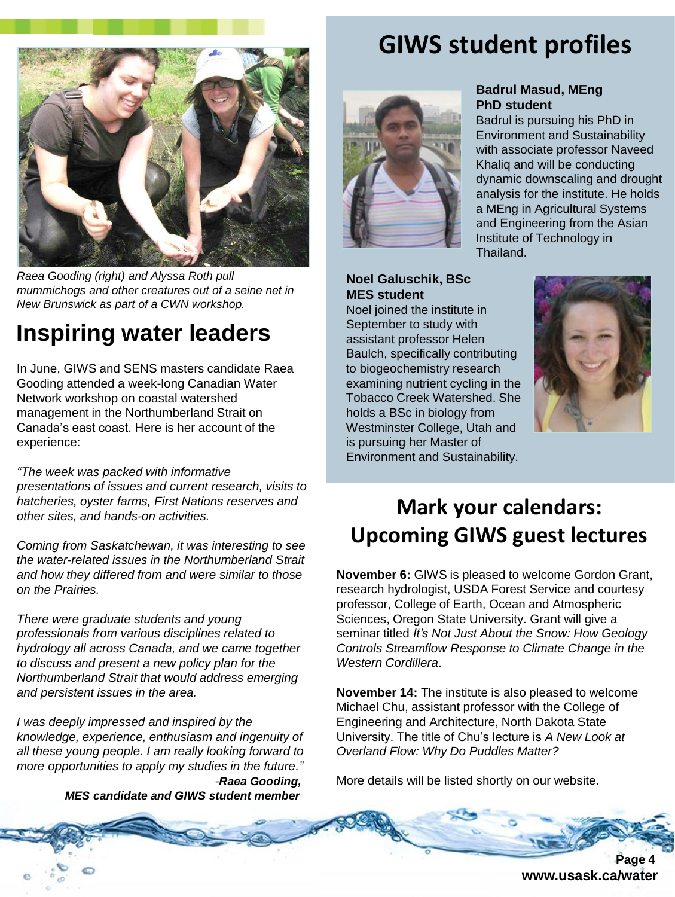

*Raea Gooding (right) and Alyssa Roth pull mummichogs and other creatures out of a seine net in New Brunswick as part of a CWN workshop.*

## **Inspiring water leaders**

In June, GIWS and SENS masters candidate Raea Gooding attended a week-long Canadian Water Network workshop on coastal watershed management in the Northumberland Strait on Canada's east coast. Here is her account of the experience:

*"The week was packed with informative presentations of issues and current research, visits to hatcheries, oyster farms, First Nations reserves and other sites, and hands-on activities.* 

*Coming from Saskatchewan, it was interesting to see the water-related issues in the Northumberland Strait and how they differed from and were similar to those on the Prairies.* 

*There were graduate students and young professionals from various disciplines related to hydrology all across Canada, and we came together to discuss and present a new policy plan for the Northumberland Strait that would address emerging and persistent issues in the area.* 

*I was deeply impressed and inspired by the knowledge, experience, enthusiasm and ingenuity of all these young people. I am really looking forward to more opportunities to apply my studies in the future." -Raea Gooding, MES candidate and GIWS student member*

### **GIWS student profiles**

**PhD student**

Thailand.

**Badrul Masud, MEng**

Institute of Technology in

Badrul is pursuing his PhD in Environment and Sustainability with associate professor Naveed Khaliq and will be conducting dynamic downscaling and drought analysis for the institute. He holds a MEng in Agricultural Systems and Engineering from the Asian



#### **Noel Galuschik, BSc MES student**

Noel joined the institute in September to study with assistant professor Helen Baulch, specifically contributing to biogeochemistry research examining nutrient cycling in the Tobacco Creek Watershed. She holds a BSc in biology from Westminster College, Utah and is pursuing her Master of Environment and Sustainability.



## **Mark your calendars: Upcoming GIWS guest lectures**

**November 6:** GIWS is pleased to welcome Gordon Grant, research hydrologist, USDA Forest Service and courtesy professor, College of Earth, Ocean and Atmospheric Sciences, Oregon State University. Grant will give a seminar titled *It's Not Just About the Snow: How Geology Controls Streamflow Response to Climate Change in the Western Cordillera*.

**November 14:** The institute is also pleased to welcome Michael Chu, assistant professor with the College of Engineering and Architecture, North Dakota State University. The title of Chu's lecture is *A New Look at Overland Flow: Why Do Puddles Matter?*

More details will be listed shortly on our website.

 **Page 4 www.usask.ca/water**